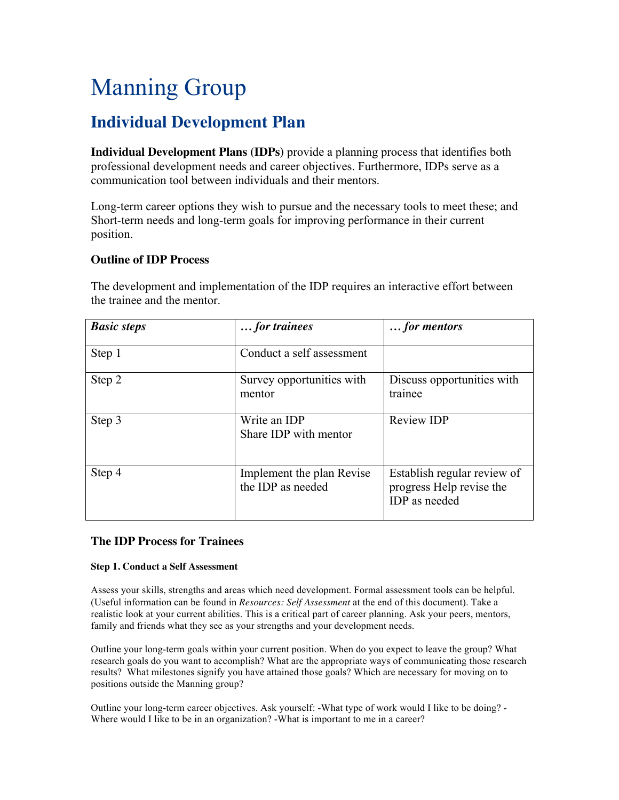# Manning Group

# **Individual Development Plan**

**Individual Development Plans (IDPs)** provide a planning process that identifies both professional development needs and career objectives. Furthermore, IDPs serve as a communication tool between individuals and their mentors.

Long-term career options they wish to pursue and the necessary tools to meet these; and Short-term needs and long-term goals for improving performance in their current position.

# **Outline of IDP Process**

The development and implementation of the IDP requires an interactive effort between the trainee and the mentor.

| <b>Basic steps</b> | for trainees                                   | for mentors                                                              |
|--------------------|------------------------------------------------|--------------------------------------------------------------------------|
| Step 1             | Conduct a self assessment                      |                                                                          |
| Step 2             | Survey opportunities with<br>mentor            | Discuss opportunities with<br>trainee                                    |
| Step 3             | Write an IDP<br>Share IDP with mentor          | <b>Review IDP</b>                                                        |
| Step 4             | Implement the plan Revise<br>the IDP as needed | Establish regular review of<br>progress Help revise the<br>IDP as needed |

# **The IDP Process for Trainees**

# **Step 1. Conduct a Self Assessment**

Assess your skills, strengths and areas which need development. Formal assessment tools can be helpful. (Useful information can be found in *Resources: Self Assessment* at the end of this document). Take a realistic look at your current abilities. This is a critical part of career planning. Ask your peers, mentors, family and friends what they see as your strengths and your development needs.

Outline your long-term goals within your current position. When do you expect to leave the group? What research goals do you want to accomplish? What are the appropriate ways of communicating those research results? What milestones signify you have attained those goals? Which are necessary for moving on to positions outside the Manning group?

Outline your long-term career objectives. Ask yourself: -What type of work would I like to be doing? - Where would I like to be in an organization? -What is important to me in a career?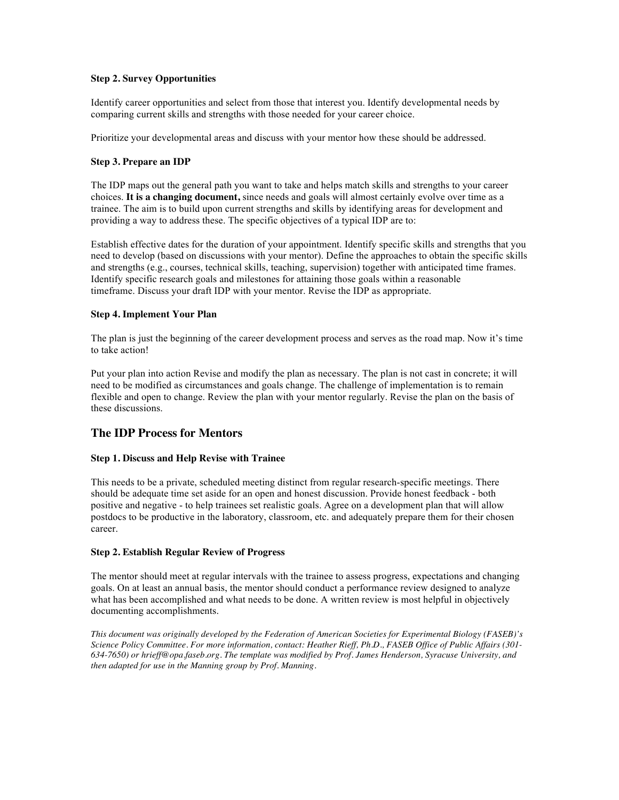# **Step 2. Survey Opportunities**

Identify career opportunities and select from those that interest you. Identify developmental needs by comparing current skills and strengths with those needed for your career choice.

Prioritize your developmental areas and discuss with your mentor how these should be addressed.

## **Step 3. Prepare an IDP**

The IDP maps out the general path you want to take and helps match skills and strengths to your career choices. **It is a changing document,** since needs and goals will almost certainly evolve over time as a trainee. The aim is to build upon current strengths and skills by identifying areas for development and providing a way to address these. The specific objectives of a typical IDP are to:

Establish effective dates for the duration of your appointment. Identify specific skills and strengths that you need to develop (based on discussions with your mentor). Define the approaches to obtain the specific skills and strengths (e.g., courses, technical skills, teaching, supervision) together with anticipated time frames. Identify specific research goals and milestones for attaining those goals within a reasonable timeframe. Discuss your draft IDP with your mentor. Revise the IDP as appropriate.

## **Step 4. Implement Your Plan**

The plan is just the beginning of the career development process and serves as the road map. Now it's time to take action!

Put your plan into action Revise and modify the plan as necessary. The plan is not cast in concrete; it will need to be modified as circumstances and goals change. The challenge of implementation is to remain flexible and open to change. Review the plan with your mentor regularly. Revise the plan on the basis of these discussions.

# **The IDP Process for Mentors**

# **Step 1. Discuss and Help Revise with Trainee**

This needs to be a private, scheduled meeting distinct from regular research-specific meetings. There should be adequate time set aside for an open and honest discussion. Provide honest feedback - both positive and negative - to help trainees set realistic goals. Agree on a development plan that will allow postdocs to be productive in the laboratory, classroom, etc. and adequately prepare them for their chosen career.

#### **Step 2. Establish Regular Review of Progress**

The mentor should meet at regular intervals with the trainee to assess progress, expectations and changing goals. On at least an annual basis, the mentor should conduct a performance review designed to analyze what has been accomplished and what needs to be done. A written review is most helpful in objectively documenting accomplishments.

*This document was originally developed by the Federation of American Societies for Experimental Biology (FASEB)'s Science Policy Committee. For more information, contact: Heather Rieff, Ph.D., FASEB Office of Public Affairs (301- 634-7650) or hrieff@opa.faseb.org. The template was modified by Prof. James Henderson, Syracuse University, and then adapted for use in the Manning group by Prof. Manning.*